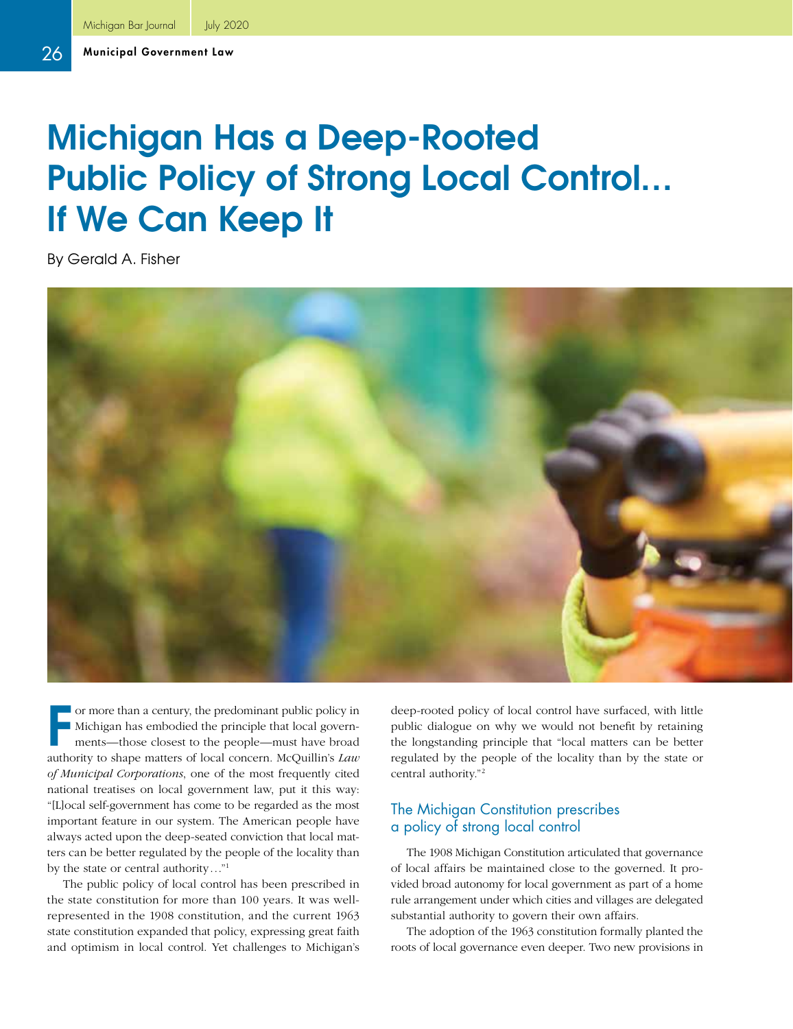# Michigan Has a Deep-Rooted Public Policy of Strong Local Control... If We Can Keep It

By Gerald A. Fisher



F or more than a century, the predominant public policy in Michigan has embodied the principle that local governments—those closest to the people—must have broad authority to shape matters of local concern. McQuillin's *Law of Municipal Corporations*, one of the most frequently cited national treatises on local government law, put it this way: "[L]ocal self-government has come to be regarded as the most important feature in our system. The American people have always acted upon the deep-seated conviction that local matters can be better regulated by the people of the locality than by the state or central authority..."1

The public policy of local control has been prescribed in the state constitution for more than 100 years. It was wellrepresented in the 1908 constitution, and the current 1963 state constitution expanded that policy, expressing great faith and optimism in local control. Yet challenges to Michigan's

deep-rooted policy of local control have surfaced, with little public dialogue on why we would not benefit by retaining the longstanding principle that "local matters can be better regulated by the people of the locality than by the state or central authority."2

#### The Michigan Constitution prescribes a policy of strong local control

The 1908 Michigan Constitution articulated that governance of local affairs be maintained close to the governed. It provided broad autonomy for local government as part of a home rule arrangement under which cities and villages are delegated substantial authority to govern their own affairs.

The adoption of the 1963 constitution formally planted the roots of local governance even deeper. Two new provisions in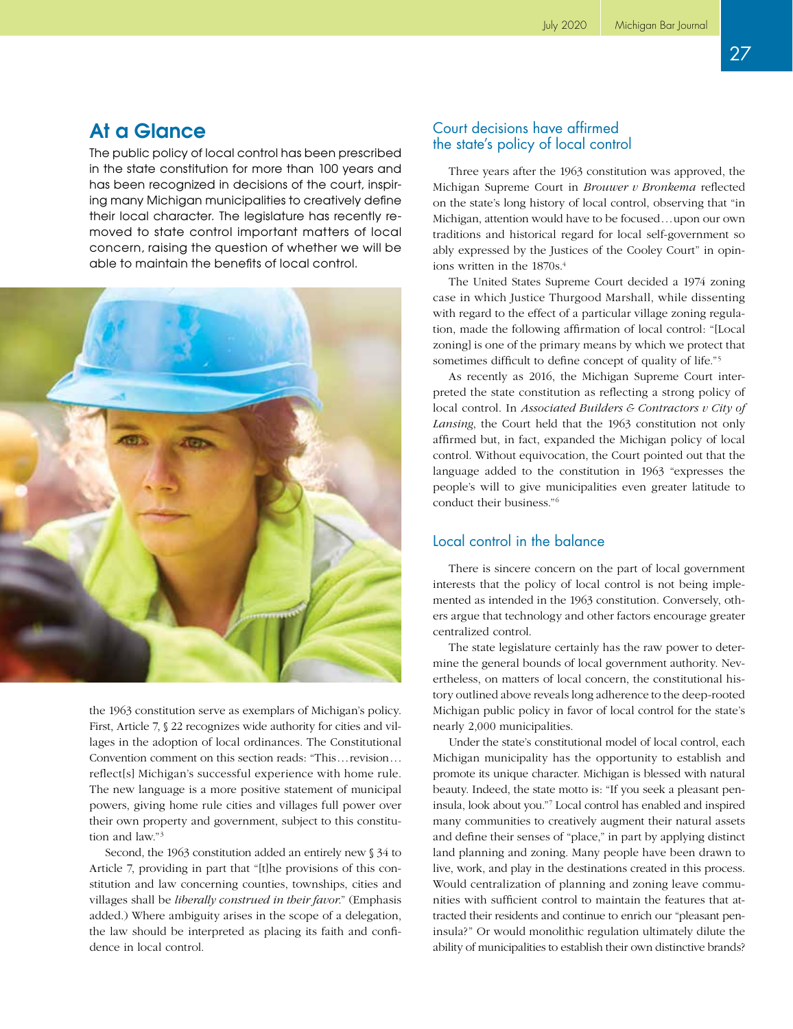## At a Glance

The public policy of local control has been prescribed in the state constitution for more than 100 years and has been recognized in decisions of the court, inspiring many Michigan municipalities to creatively define their local character. The legislature has recently removed to state control important matters of local concern, raising the question of whether we will be able to maintain the benefits of local control.



the 1963 constitution serve as exemplars of Michigan's policy. First, Article 7, § 22 recognizes wide authority for cities and villages in the adoption of local ordinances. The Constitutional Convention comment on this section reads: "This...revision... reflect[s] Michigan's successful experience with home rule. The new language is a more positive statement of municipal powers, giving home rule cities and villages full power over their own property and government, subject to this constitution and law."3

Second, the 1963 constitution added an entirely new § 34 to Article 7, providing in part that "[t]he provisions of this constitution and law concerning counties, townships, cities and villages shall be *liberally construed in their favor*." (Emphasis added.) Where ambiguity arises in the scope of a delegation, the law should be interpreted as placing its faith and confidence in local control.

#### Court decisions have affirmed the state's policy of local control

Three years after the 1963 constitution was approved, the Michigan Supreme Court in *Brouwer v Bronkema* reflected on the state's long history of local control, observing that "in Michigan, attention would have to be focused...upon our own traditions and historical regard for local self-government so ably expressed by the Justices of the Cooley Court" in opinions written in the 1870s.<sup>4</sup>

The United States Supreme Court decided a 1974 zoning case in which Justice Thurgood Marshall, while dissenting with regard to the effect of a particular village zoning regulation, made the following affirmation of local control: "[Local zoning] is one of the primary means by which we protect that sometimes difficult to define concept of quality of life."5

As recently as 2016, the Michigan Supreme Court interpreted the state constitution as reflecting a strong policy of local control. In *Associated Builders & Contractors v City of Lansing*, the Court held that the 1963 constitution not only affirmed but, in fact, expanded the Michigan policy of local control. Without equivocation, the Court pointed out that the language added to the constitution in 1963 "expresses the people's will to give municipalities even greater latitude to conduct their business."6

### Local control in the balance

There is sincere concern on the part of local government interests that the policy of local control is not being implemented as intended in the 1963 constitution. Conversely, others argue that technology and other factors encourage greater centralized control.

The state legislature certainly has the raw power to determine the general bounds of local government authority. Nevertheless, on matters of local concern, the constitutional history outlined above reveals long adherence to the deep-rooted Michigan public policy in favor of local control for the state's nearly 2,000 municipalities.

Under the state's constitutional model of local control, each Michigan municipality has the opportunity to establish and promote its unique character. Michigan is blessed with natural beauty. Indeed, the state motto is: "If you seek a pleasant peninsula, look about you."7 Local control has enabled and inspired many communities to creatively augment their natural assets and define their senses of "place," in part by applying distinct land planning and zoning. Many people have been drawn to live, work, and play in the destinations created in this process. Would centralization of planning and zoning leave communities with sufficient control to maintain the features that attracted their residents and continue to enrich our "pleasant peninsula?" Or would monolithic regulation ultimately dilute the ability of municipalities to establish their own distinctive brands?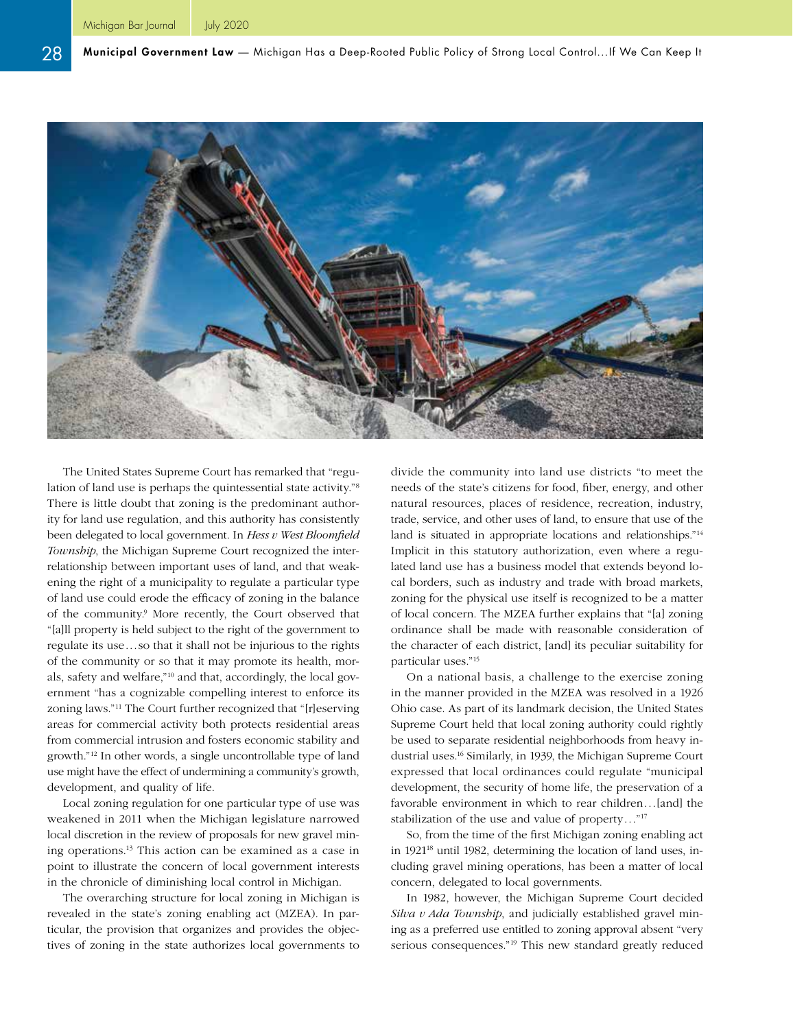

The United States Supreme Court has remarked that "regulation of land use is perhaps the quintessential state activity."8 There is little doubt that zoning is the predominant authority for land use regulation, and this authority has consistently been delegated to local government. In *Hess v West Bloomfield Township*, the Michigan Supreme Court recognized the interrelationship between important uses of land, and that weakening the right of a municipality to regulate a particular type of land use could erode the efficacy of zoning in the balance of the community.<sup>9</sup> More recently, the Court observed that "[a]ll property is held subject to the right of the government to regulate its use...so that it shall not be injurious to the rights of the community or so that it may promote its health, morals, safety and welfare,"10 and that, accordingly, the local government "has a cognizable compelling interest to enforce its zoning laws."11 The Court further recognized that "[r]eserving areas for commercial activity both protects residential areas from commercial intrusion and fosters economic stability and growth."12 In other words, a single uncontrollable type of land use might have the effect of undermining a community's growth, development, and quality of life.

Local zoning regulation for one particular type of use was weakened in 2011 when the Michigan legislature narrowed local discretion in the review of proposals for new gravel mining operations.13 This action can be examined as a case in point to illustrate the concern of local government interests in the chronicle of diminishing local control in Michigan.

The overarching structure for local zoning in Michigan is revealed in the state's zoning enabling act (MZEA). In particular, the provision that organizes and provides the objectives of zoning in the state authorizes local governments to divide the community into land use districts "to meet the needs of the state's citizens for food, fiber, energy, and other natural resources, places of residence, recreation, industry, trade, service, and other uses of land, to ensure that use of the land is situated in appropriate locations and relationships."14 Implicit in this statutory authorization, even where a regulated land use has a business model that extends beyond local borders, such as industry and trade with broad markets, zoning for the physical use itself is recognized to be a matter of local concern. The MZEA further explains that "[a] zoning ordinance shall be made with reasonable consideration of the character of each district, [and] its peculiar suitability for particular uses."15

On a national basis, a challenge to the exercise zoning in the manner provided in the MZEA was resolved in a 1926 Ohio case. As part of its landmark decision, the United States Supreme Court held that local zoning authority could rightly be used to separate residential neighborhoods from heavy industrial uses.16 Similarly, in 1939, the Michigan Supreme Court expressed that local ordinances could regulate "municipal development, the security of home life, the preservation of a favorable environment in which to rear children...[and] the stabilization of the use and value of property..."17

So, from the time of the first Michigan zoning enabling act in 1921<sup>18</sup> until 1982, determining the location of land uses, including gravel mining operations, has been a matter of local concern, delegated to local governments.

In 1982, however, the Michigan Supreme Court decided *Silva v Ada Township*, and judicially established gravel mining as a preferred use entitled to zoning approval absent "very serious consequences."19 This new standard greatly reduced